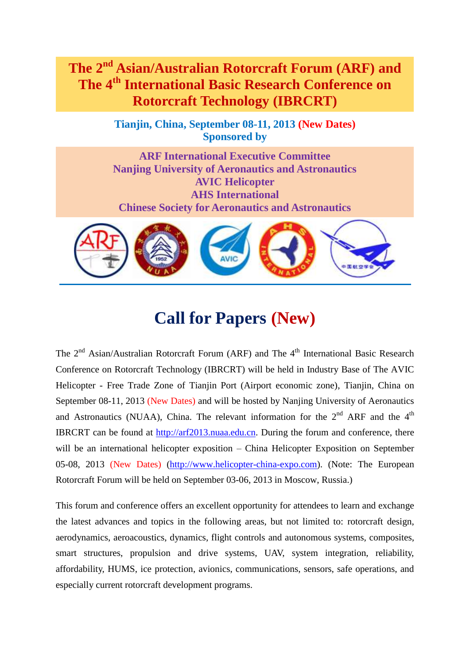**The 2nd Asian/Australian Rotorcraft Forum (ARF) and The 4th International Basic Research Conference on Rotorcraft Technology (IBRCRT)**

> **Tianjin, China, September 08-11, 2013 (New Dates) Sponsored by**

> **ARF International Executive Committee Nanjing University of Aeronautics and Astronautics AVIC Helicopter AHS International Chinese Society for Aeronautics and Astronautics**



# **Call for Papers (New)**

The  $2<sup>nd</sup> Asian/Australian Rotorcraft Forum (ARF) and The 4<sup>th</sup> International Basic Research$ Conference on Rotorcraft Technology (IBRCRT) will be held in Industry Base of The AVIC Helicopter - Free Trade Zone of Tianjin Port (Airport economic zone), Tianjin, China on September 08-11, 2013 (New Dates) and will be hosted by Nanjing University of Aeronautics and Astronautics (NUAA), China. The relevant information for the  $2<sup>nd</sup>$  ARF and the  $4<sup>th</sup>$ IBRCRT can be found at [http://arf2013.nuaa.edu.cn.](http://arf2013.nuaa.edu.cn/) During the forum and conference, there will be an international helicopter exposition – China Helicopter Exposition on September 05-08, 2013 (New Dates) [\(http://www.helicopter-china-expo.com\)](http://www.helicopter-china-expo.com/). (Note: The European Rotorcraft Forum will be held on September 03-06, 2013 in Moscow, Russia.)

This forum and conference offers an excellent opportunity for attendees to learn and exchange the latest advances and topics in the following areas, but not limited to: rotorcraft design, aerodynamics, aeroacoustics, dynamics, flight controls and autonomous systems, composites, smart structures, propulsion and drive systems, UAV, system integration, reliability, affordability, HUMS, ice protection, avionics, communications, sensors, safe operations, and especially current rotorcraft development programs.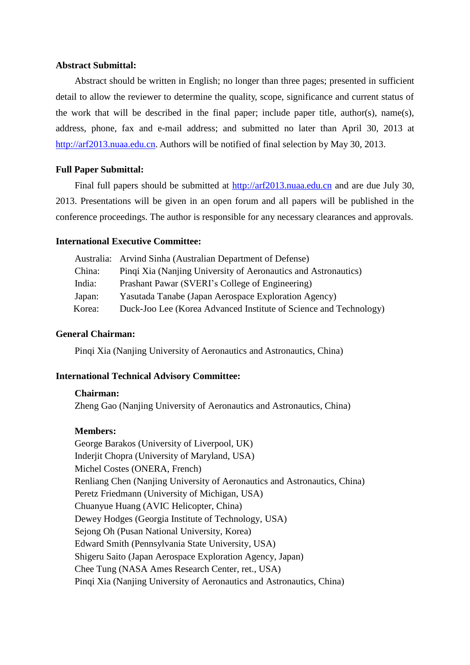## **Abstract Submittal:**

Abstract should be written in English; no longer than three pages; presented in sufficient detail to allow the reviewer to determine the quality, scope, significance and current status of the work that will be described in the final paper; include paper title, author(s), name(s), address, phone, fax and e-mail address; and submitted no later than April 30, 2013 at [http://arf2013.nuaa.edu.cn.](http://arf2013.nuaa.edu.cn/) Authors will be notified of final selection by May 30, 2013.

# **Full Paper Submittal:**

Final full papers should be submitted at [http://arf2013.nuaa.edu.cn](http://arf2013.nuaa.edu.cn/) and are due July 30, 2013. Presentations will be given in an open forum and all papers will be published in the conference proceedings. The author is responsible for any necessary clearances and approvals.

#### **International Executive Committee:**

|        | Australia: Arvind Sinha (Australian Department of Defense)        |
|--------|-------------------------------------------------------------------|
| China: | Pingi Xia (Nanjing University of Aeronautics and Astronautics)    |
| India: | Prashant Pawar (SVERI's College of Engineering)                   |
| Japan: | Yasutada Tanabe (Japan Aerospace Exploration Agency)              |
| Korea: | Duck-Joo Lee (Korea Advanced Institute of Science and Technology) |

#### **General Chairman:**

Pinqi Xia (Nanjing University of Aeronautics and Astronautics, China)

#### **International Technical Advisory Committee:**

#### **Chairman:**

Zheng Gao (Nanjing University of Aeronautics and Astronautics, China)

## **Members:**

George Barakos (University of Liverpool, UK) Inderjit Chopra (University of Maryland, USA) Michel Costes (ONERA, French) Renliang Chen (Nanjing University of Aeronautics and Astronautics, China) Peretz Friedmann (University of Michigan, USA) Chuanyue Huang (AVIC Helicopter, China) Dewey Hodges (Georgia Institute of Technology, USA) Sejong Oh (Pusan National University, Korea) Edward Smith (Pennsylvania State University, USA) Shigeru Saito (Japan Aerospace Exploration Agency, Japan) Chee Tung (NASA Ames Research Center, ret., USA) Pinqi Xia (Nanjing University of Aeronautics and Astronautics, China)